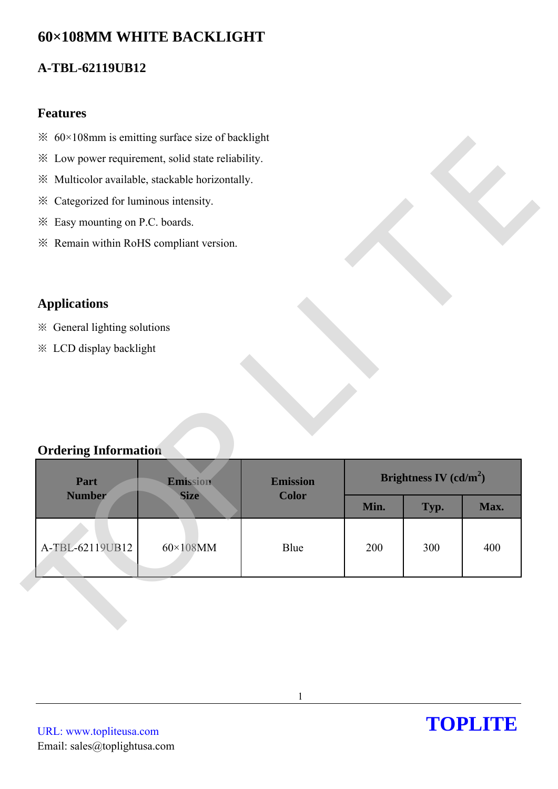# **60×108MM WHITE BACKLIGHT**

## **A-TBL-62119UB12**

#### **Features**

- $\frac{1}{2}$  60×108mm is emitting surface size of backlight
- ※ Low power requirement, solid state reliability.
- ※ Multicolor available, stackable horizontally.
- ※ Categorized for luminous intensity.
- ※ Easy mounting on P.C. boards.
- ※ Remain within RoHS compliant version.

## **Applications**

## **Ordering Information**

| Brightness IV $(cd/m^2)$ |             |  |
|--------------------------|-------------|--|
|                          | Max.        |  |
|                          |             |  |
|                          | 400         |  |
|                          |             |  |
|                          |             |  |
|                          |             |  |
|                          |             |  |
|                          |             |  |
| Min.<br>200              | Typ.<br>300 |  |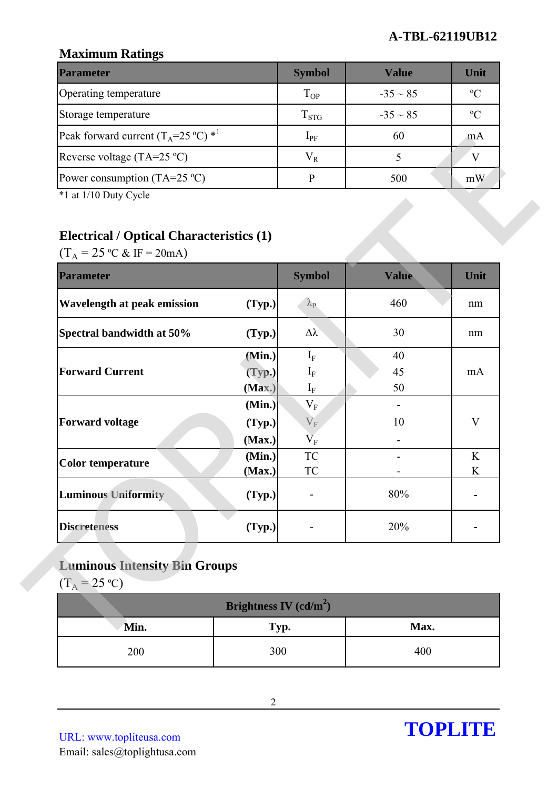## **A-TBL-62119UB12**

## **Maximum Ratings**

| <b>Parameter</b>                                        | <b>Symbol</b> | Value         | Unit          |
|---------------------------------------------------------|---------------|---------------|---------------|
| Operating temperature                                   | $T_{OP}$      | $-35 \sim 85$ | $\mathcal{C}$ |
| Storage temperature                                     | $T_{STG}$     | $-35 \sim 85$ | $\rm ^{o}C$   |
| Peak forward current $(T_A=25 \degree C)$ <sup>*1</sup> | $1_{\rm PF}$  | 60            | mA            |
| Reverse voltage (TA=25 $^{\circ}$ C)                    | $\rm V_R$     |               |               |
| Power consumption (TA=25 $^{\circ}$ C)                  |               | 500           | mW            |

## **Electrical / Optical Characteristics (1)**

| Peak forward current $(T_A=25 \degree C)^*$                                                                                       |                          | $1_{PF}$                                        | $60^{\circ}$ | mA          |
|-----------------------------------------------------------------------------------------------------------------------------------|--------------------------|-------------------------------------------------|--------------|-------------|
| Reverse voltage (TA=25 °C)                                                                                                        |                          | $V_R$                                           | 5            | V           |
| Power consumption (TA=25 $^{\circ}$ C)                                                                                            |                          | $\mathbf{P}$                                    | 500          | mW          |
| *1 at 1/10 Duty Cycle<br><b>Electrical / Optical Characteristics (1)</b><br>$(T_A = 25 \text{ °C} \& \text{ IF} = 20 \text{ mA})$ |                          |                                                 |              |             |
| <b>Parameter</b>                                                                                                                  |                          | <b>Symbol</b>                                   | <b>Value</b> | Unit        |
| <b>Wavelength at peak emission</b>                                                                                                | (Typ.)                   | $\lambda_{\rm P}$                               | 460          | nm          |
| Spectral bandwidth at 50%                                                                                                         | (Typ.)                   | $\Delta \lambda$                                | 30           | nm          |
|                                                                                                                                   | (Min.)                   | $\mathbf{I}_{\text{F}}$                         | 40           |             |
| <b>Forward Current</b>                                                                                                            | (Typ.)                   | $I_{\rm F}$                                     | 45           | mA          |
|                                                                                                                                   | (Max.)                   | $\mathbf{I}_{\text{F}}$                         | 50           |             |
| <b>Forward voltage</b>                                                                                                            | (Min.)                   | $\rm V_F$                                       |              |             |
|                                                                                                                                   | (Typ.)                   | $V_{F}$                                         | 10           | $\mathbf V$ |
|                                                                                                                                   | (Max.)<br>(Min.)         | $\overline{\mathbf{V}}_{\text{F}}$<br><b>TC</b> |              | K           |
| <b>Color temperature</b>                                                                                                          | (Max.)                   | TC                                              |              | K           |
| <b>Luminous Uniformity</b>                                                                                                        | (Typ.)                   |                                                 | 80%          |             |
| <b>Discreteness</b>                                                                                                               | (Typ.)                   |                                                 | 20%          |             |
| <b>Luminous Intensity Bin Groups</b><br>$(T_A = 25 °C)$                                                                           | Brightness IV $(cd/m^2)$ |                                                 |              |             |
|                                                                                                                                   |                          |                                                 |              |             |
| Min.                                                                                                                              | Typ.                     |                                                 | Max.         |             |
| 200                                                                                                                               | 300                      |                                                 | 400          |             |

# **Luminous Intensity Bin Groups**

| Brightness IV (cd/m <sup>2</sup> ) |      |      |  |  |  |
|------------------------------------|------|------|--|--|--|
| Min.                               | Typ. | Max. |  |  |  |
| 200                                | 300  | 400  |  |  |  |

URL: www.topliteusa.com Email: sales@toplightusa.com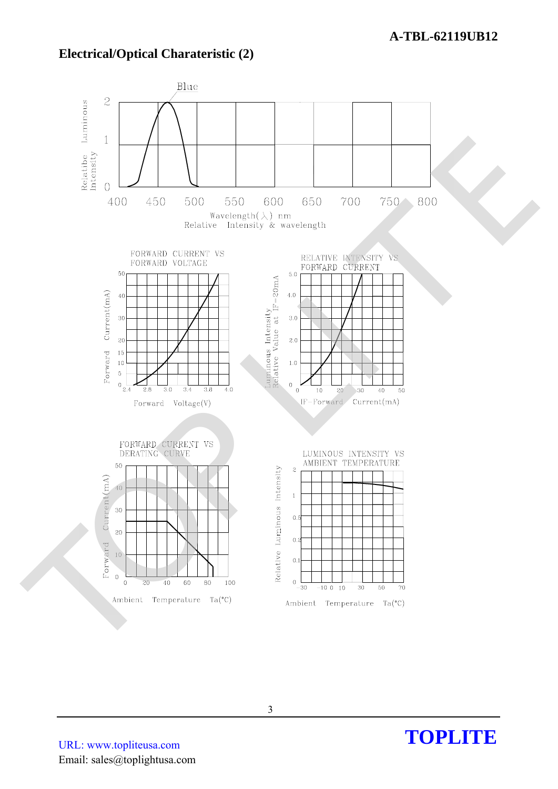## **Electrical/Optical Charateristic (2)**



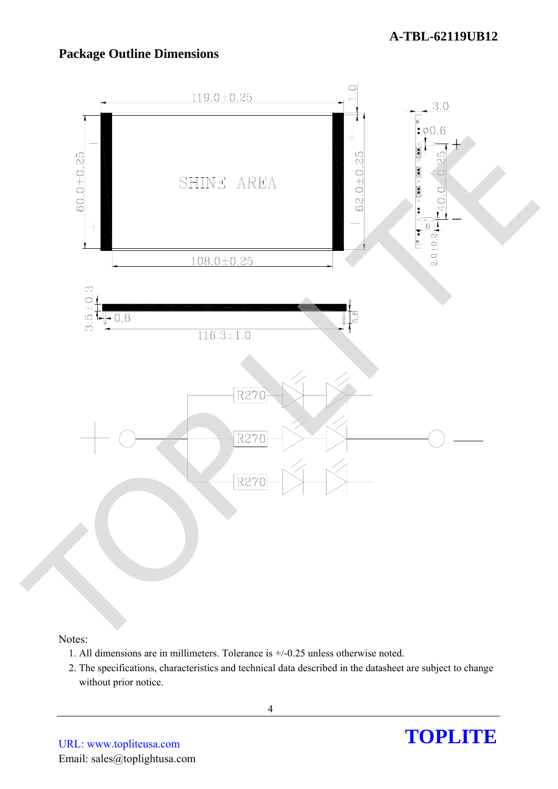## **Package Outline Dimensions**



#### Notes:

- 1. All dimensions are in millimeters. Tolerance is +/-0.25 unless otherwise noted.
- 2. The specifications, characteristics and technical data described in the datasheet are subject to change without prior notice.